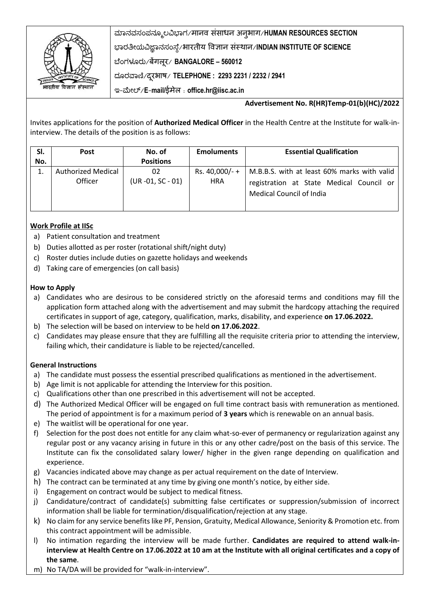

ಮಾನವಸಂಪನಮೂಲವಿಭಾಗ/मानव संसाधन अनुभाग/**HUMAN RESOURCES SECTION** ಭಾರತೀಯವಿಜ್ಞಾನಸಂಸ್ಥೆ/भारतीय ववज्ञान संस्थान/**INDIAN INSTITUTE OF SCIENCE** ಬಥಂಗಳೂರು/बेंगलूर/ **BANGALORE – 560012** ದಮರವಾಣಿ/दरूभाष/ **TELEPHONE : 2293 2231 / 2232 / 2941**

ಇ-ಮೀಲ್/**E**-**mail/**ईमेल : **office.hr@iisc.ac.in**

## **Advertisement No. R(HR)Temp-01(b)(HC)/2022**

Invites applications for the position of **Authorized Medical Officer** in the Health Centre at the Institute for walk-ininterview. The details of the position is as follows:

| SI. | <b>Post</b>               | No. of            | <b>Emoluments</b> | <b>Essential Qualification</b>              |
|-----|---------------------------|-------------------|-------------------|---------------------------------------------|
| No. |                           | <b>Positions</b>  |                   |                                             |
|     | <b>Authorized Medical</b> | 02                | Rs. 40,000/- +    | M.B.B.S. with at least 60% marks with valid |
|     | Officer                   | (UR -01, SC - 01) | <b>HRA</b>        | registration at State Medical Council or    |
|     |                           |                   |                   | Medical Council of India                    |
|     |                           |                   |                   |                                             |

## **Work Profile at IISc**

- a) Patient consultation and treatment
- b) Duties allotted as per roster (rotational shift/night duty)
- c) Roster duties include duties on gazette holidays and weekends
- d) Taking care of emergencies (on call basis)

#### **How to Apply**

- a) Candidates who are desirous to be considered strictly on the aforesaid terms and conditions may fill the application form attached along with the advertisement and may submit the hardcopy attaching the required certificates in support of age, category, qualification, marks, disability, and experience **on 17.06.2022.**
- b) The selection will be based on interview to be held **on 17.06.2022**.
- c) Candidates may please ensure that they are fulfilling all the requisite criteria prior to attending the interview, failing which, their candidature is liable to be rejected/cancelled.

#### **General Instructions**

- a) The candidate must possess the essential prescribed qualifications as mentioned in the advertisement.
- b) Age limit is not applicable for attending the Interview for this position.
- c) Qualifications other than one prescribed in this advertisement will not be accepted.
- d) The Authorized Medical Officer will be engaged on full time contract basis with remuneration as mentioned. The period of appointment is for a maximum period of **3 years** which is renewable on an annual basis.
- e) The waitlist will be operational for one year.
- f) Selection for the post does not entitle for any claim what-so-ever of permanency or regularization against any regular post or any vacancy arising in future in this or any other cadre/post on the basis of this service. The Institute can fix the consolidated salary lower/ higher in the given range depending on qualification and experience.
- g) Vacancies indicated above may change as per actual requirement on the date of Interview.
- h) The contract can be terminated at any time by giving one month's notice, by either side.
- i) Engagement on contract would be subject to medical fitness.
- j) Candidature/contract of candidate(s) submitting false certificates or suppression/submission of incorrect information shall be liable for termination/disqualification/rejection at any stage.
- k) No claim for any service benefits like PF, Pension, Gratuity, Medical Allowance, Seniority & Promotion etc. from this contract appointment will be admissible.
- l) No intimation regarding the interview will be made further. **Candidates are required to attend walk-ininterview at Health Centre on 17.06.2022 at 10 am at the Institute with all original certificates and a copy of the same**.
- m) No TA/DA will be provided for "walk-in-interview".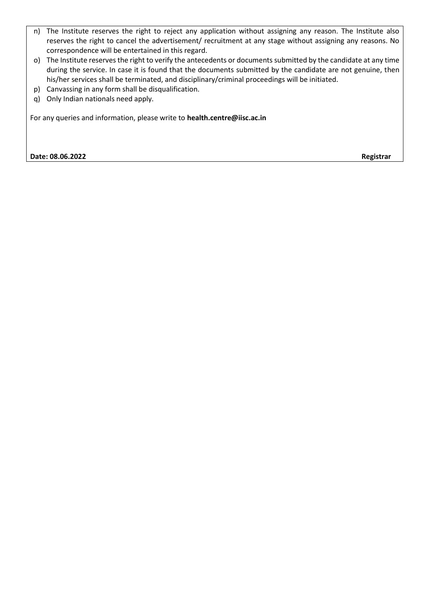- n) The Institute reserves the right to reject any application without assigning any reason. The Institute also reserves the right to cancel the advertisement/ recruitment at any stage without assigning any reasons. No correspondence will be entertained in this regard.
- o) The Institute reserves the right to verify the antecedents or documents submitted by the candidate at any time during the service. In case it is found that the documents submitted by the candidate are not genuine, then his/her services shall be terminated, and disciplinary/criminal proceedings will be initiated.
- p) Canvassing in any form shall be disqualification.
- q) Only Indian nationals need apply.

For any queries and information, please write to **health.centre@iisc.ac.in**

**Date: 08.06.2022 Registrar**